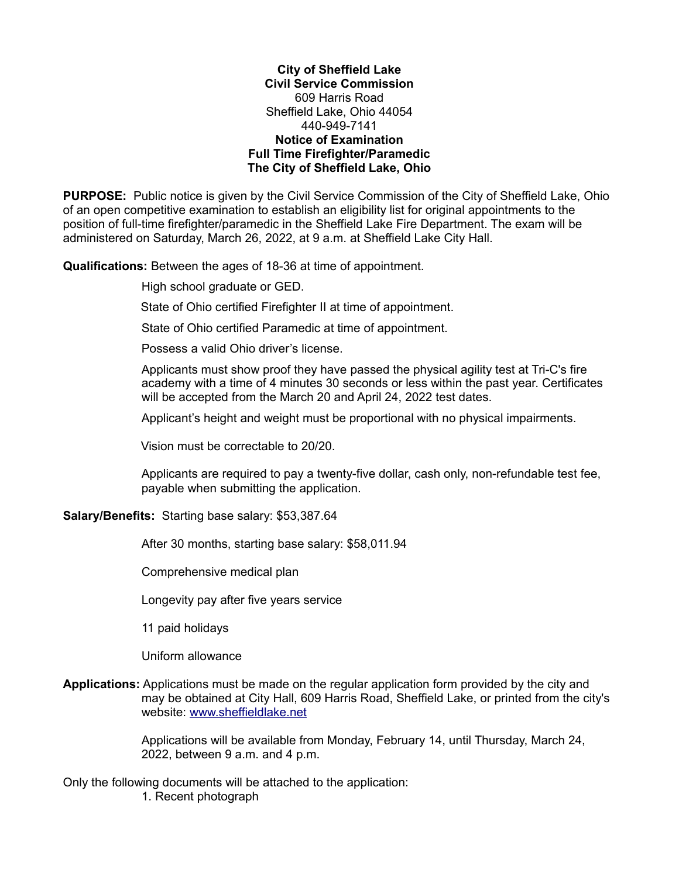**City of Sheffield Lake Civil Service Commission** 609 Harris Road Sheffield Lake, Ohio 44054 440-949-7141 **Notice of Examination Full Time Firefighter/Paramedic The City of Sheffield Lake, Ohio**

**PURPOSE:** Public notice is given by the Civil Service Commission of the City of Sheffield Lake, Ohio of an open competitive examination to establish an eligibility list for original appointments to the position of full-time firefighter/paramedic in the Sheffield Lake Fire Department. The exam will be administered on Saturday, March 26, 2022, at 9 a.m. at Sheffield Lake City Hall.

**Qualifications:** Between the ages of 18-36 at time of appointment.

High school graduate or GED.

State of Ohio certified Firefighter II at time of appointment.

State of Ohio certified Paramedic at time of appointment.

Possess a valid Ohio driver's license.

 Applicants must show proof they have passed the physical agility test at Tri-C's fire academy with a time of 4 minutes 30 seconds or less within the past year. Certificates will be accepted from the March 20 and April 24, 2022 test dates.

Applicant's height and weight must be proportional with no physical impairments.

Vision must be correctable to 20/20.

Applicants are required to pay a twenty-five dollar, cash only, non-refundable test fee, payable when submitting the application.

**Salary/Benefits:** Starting base salary: \$53,387.64

After 30 months, starting base salary: \$58,011.94

Comprehensive medical plan

Longevity pay after five years service

11 paid holidays

Uniform allowance

## **Applications:** Applications must be made on the regular application form provided by the city and may be obtained at City Hall, 609 Harris Road, Sheffield Lake, or printed from the city's website: [www.sheffieldlake.net](http://www.sheffieldlake.net/)

Applications will be available from Monday, February 14, until Thursday, March 24, 2022, between 9 a.m. and 4 p.m.

Only the following documents will be attached to the application:

1. Recent photograph